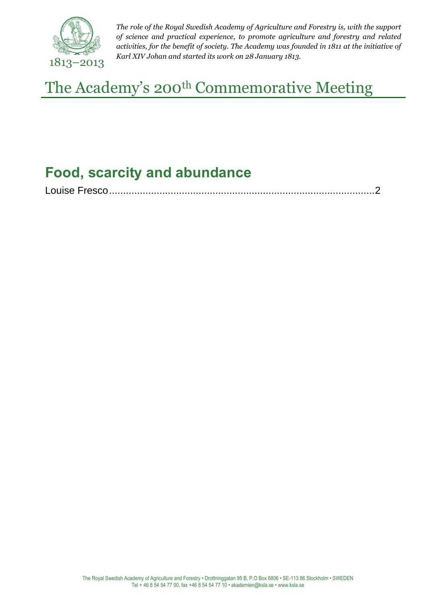

*The role of the Royal Swedish Academy of Agriculture and Forestry is, with the support of science and practical experience, to promote agriculture and forestry and related activities, for the benefit of society. The Academy was founded in 1811 at the initiative of Karl XIV Johan and started its work on 28 January 1813.*

The Academy's 200<sup>th</sup> Commemorative Meeting

## **Food, scarcity and abundance**

|--|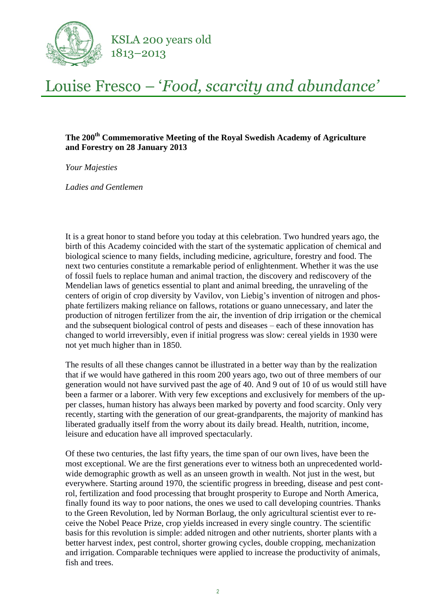

## Louise Fresco – '*Food, scarcity and abundance'*

## **The 200th Commemorative Meeting of the Royal Swedish Academy of Agriculture and Forestry on 28 January 2013**

*Your Majesties*

*Ladies and Gentlemen* 

It is a great honor to stand before you today at this celebration. Two hundred years ago, the birth of this Academy coincided with the start of the systematic application of chemical and biological science to many fields, including medicine, agriculture, forestry and food. The next two centuries constitute a remarkable period of enlightenment. Whether it was the use of fossil fuels to replace human and animal traction, the discovery and rediscovery of the Mendelian laws of genetics essential to plant and animal breeding, the unraveling of the centers of origin of crop diversity by Vavilov, von Liebig's invention of nitrogen and phosphate fertilizers making reliance on fallows, rotations or guano unnecessary, and later the production of nitrogen fertilizer from the air, the invention of drip irrigation or the chemical and the subsequent biological control of pests and diseases – each of these innovation has changed to world irreversibly, even if initial progress was slow: cereal yields in 1930 were not yet much higher than in 1850.

The results of all these changes cannot be illustrated in a better way than by the realization that if we would have gathered in this room 200 years ago, two out of three members of our generation would not have survived past the age of 40. And 9 out of 10 of us would still have been a farmer or a laborer. With very few exceptions and exclusively for members of the upper classes, human history has always been marked by poverty and food scarcity. Only very recently, starting with the generation of our great-grandparents, the majority of mankind has liberated gradually itself from the worry about its daily bread. Health, nutrition, income, leisure and education have all improved spectacularly.

Of these two centuries, the last fifty years, the time span of our own lives, have been the most exceptional. We are the first generations ever to witness both an unprecedented worldwide demographic growth as well as an unseen growth in wealth. Not just in the west, but everywhere. Starting around 1970, the scientific progress in breeding, disease and pest control, fertilization and food processing that brought prosperity to Europe and North America, finally found its way to poor nations, the ones we used to call developing countries. Thanks to the Green Revolution, led by Norman Borlaug, the only agricultural scientist ever to receive the Nobel Peace Prize, crop yields increased in every single country. The scientific basis for this revolution is simple: added nitrogen and other nutrients, shorter plants with a better harvest index, pest control, shorter growing cycles, double cropping, mechanization and irrigation. Comparable techniques were applied to increase the productivity of animals, fish and trees.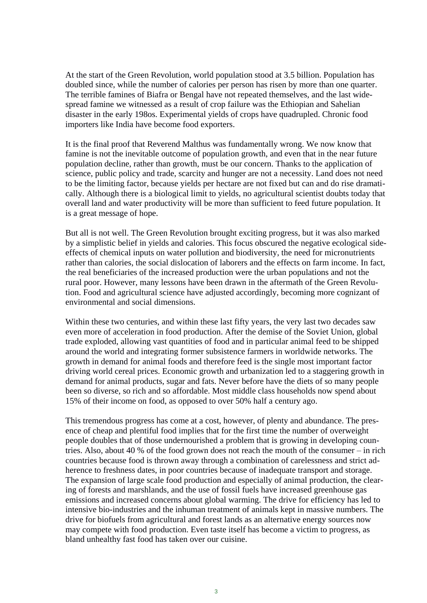At the start of the Green Revolution, world population stood at 3.5 billion. Population has doubled since, while the number of calories per person has risen by more than one quarter. The terrible famines of Biafra or Bengal have not repeated themselves, and the last widespread famine we witnessed as a result of crop failure was the Ethiopian and Sahelian disaster in the early 198os. Experimental yields of crops have quadrupled. Chronic food importers like India have become food exporters.

It is the final proof that Reverend Malthus was fundamentally wrong. We now know that famine is not the inevitable outcome of population growth, and even that in the near future population decline, rather than growth, must be our concern. Thanks to the application of science, public policy and trade, scarcity and hunger are not a necessity. Land does not need to be the limiting factor, because yields per hectare are not fixed but can and do rise dramatically. Although there is a biological limit to yields, no agricultural scientist doubts today that overall land and water productivity will be more than sufficient to feed future population. It is a great message of hope.

But all is not well. The Green Revolution brought exciting progress, but it was also marked by a simplistic belief in yields and calories. This focus obscured the negative ecological sideeffects of chemical inputs on water pollution and biodiversity, the need for micronutrients rather than calories, the social dislocation of laborers and the effects on farm income. In fact, the real beneficiaries of the increased production were the urban populations and not the rural poor. However, many lessons have been drawn in the aftermath of the Green Revolution. Food and agricultural science have adjusted accordingly, becoming more cognizant of environmental and social dimensions.

Within these two centuries, and within these last fifty years, the very last two decades saw even more of acceleration in food production. After the demise of the Soviet Union, global trade exploded, allowing vast quantities of food and in particular animal feed to be shipped around the world and integrating former subsistence farmers in worldwide networks. The growth in demand for animal foods and therefore feed is the single most important factor driving world cereal prices. Economic growth and urbanization led to a staggering growth in demand for animal products, sugar and fats. Never before have the diets of so many people been so diverse, so rich and so affordable. Most middle class households now spend about 15% of their income on food, as opposed to over 50% half a century ago.

This tremendous progress has come at a cost, however, of plenty and abundance. The presence of cheap and plentiful food implies that for the first time the number of overweight people doubles that of those undernourished a problem that is growing in developing countries. Also, about 40 % of the food grown does not reach the mouth of the consumer – in rich countries because food is thrown away through a combination of carelessness and strict adherence to freshness dates, in poor countries because of inadequate transport and storage. The expansion of large scale food production and especially of animal production, the clearing of forests and marshlands, and the use of fossil fuels have increased greenhouse gas emissions and increased concerns about global warming. The drive for efficiency has led to intensive bio-industries and the inhuman treatment of animals kept in massive numbers. The drive for biofuels from agricultural and forest lands as an alternative energy sources now may compete with food production. Even taste itself has become a victim to progress, as bland unhealthy fast food has taken over our cuisine.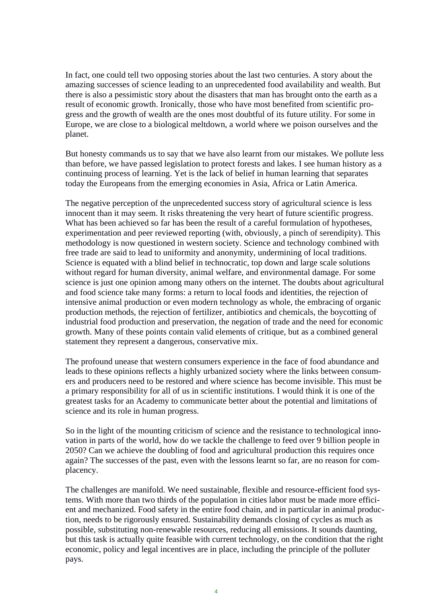In fact, one could tell two opposing stories about the last two centuries. A story about the amazing successes of science leading to an unprecedented food availability and wealth. But there is also a pessimistic story about the disasters that man has brought onto the earth as a result of economic growth. Ironically, those who have most benefited from scientific progress and the growth of wealth are the ones most doubtful of its future utility. For some in Europe, we are close to a biological meltdown, a world where we poison ourselves and the planet.

But honesty commands us to say that we have also learnt from our mistakes. We pollute less than before, we have passed legislation to protect forests and lakes. I see human history as a continuing process of learning. Yet is the lack of belief in human learning that separates today the Europeans from the emerging economies in Asia, Africa or Latin America.

The negative perception of the unprecedented success story of agricultural science is less innocent than it may seem. It risks threatening the very heart of future scientific progress. What has been achieved so far has been the result of a careful formulation of hypotheses, experimentation and peer reviewed reporting (with, obviously, a pinch of serendipity). This methodology is now questioned in western society. Science and technology combined with free trade are said to lead to uniformity and anonymity, undermining of local traditions. Science is equated with a blind belief in technocratic, top down and large scale solutions without regard for human diversity, animal welfare, and environmental damage. For some science is just one opinion among many others on the internet. The doubts about agricultural and food science take many forms: a return to local foods and identities, the rejection of intensive animal production or even modern technology as whole, the embracing of organic production methods, the rejection of fertilizer, antibiotics and chemicals, the boycotting of industrial food production and preservation, the negation of trade and the need for economic growth. Many of these points contain valid elements of critique, but as a combined general statement they represent a dangerous, conservative mix.

The profound unease that western consumers experience in the face of food abundance and leads to these opinions reflects a highly urbanized society where the links between consumers and producers need to be restored and where science has become invisible. This must be a primary responsibility for all of us in scientific institutions. I would think it is one of the greatest tasks for an Academy to communicate better about the potential and limitations of science and its role in human progress.

So in the light of the mounting criticism of science and the resistance to technological innovation in parts of the world, how do we tackle the challenge to feed over 9 billion people in 2050? Can we achieve the doubling of food and agricultural production this requires once again? The successes of the past, even with the lessons learnt so far, are no reason for complacency.

The challenges are manifold. We need sustainable, flexible and resource-efficient food systems. With more than two thirds of the population in cities labor must be made more efficient and mechanized. Food safety in the entire food chain, and in particular in animal production, needs to be rigorously ensured. Sustainability demands closing of cycles as much as possible, substituting non-renewable resources, reducing all emissions. It sounds daunting, but this task is actually quite feasible with current technology, on the condition that the right economic, policy and legal incentives are in place, including the principle of the polluter pays.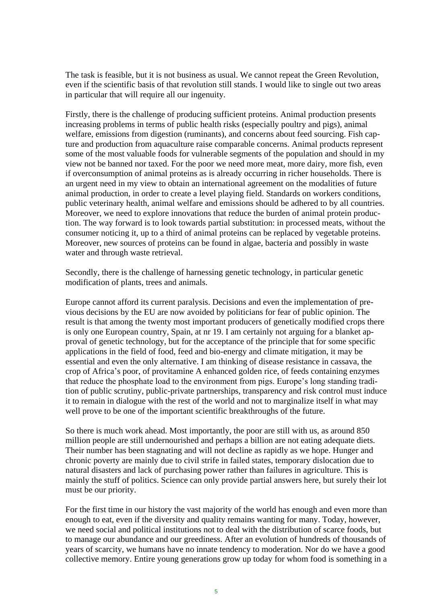The task is feasible, but it is not business as usual. We cannot repeat the Green Revolution, even if the scientific basis of that revolution still stands. I would like to single out two areas in particular that will require all our ingenuity.

Firstly, there is the challenge of producing sufficient proteins. Animal production presents increasing problems in terms of public health risks (especially poultry and pigs), animal welfare, emissions from digestion (ruminants), and concerns about feed sourcing. Fish capture and production from aquaculture raise comparable concerns. Animal products represent some of the most valuable foods for vulnerable segments of the population and should in my view not be banned nor taxed. For the poor we need more meat, more dairy, more fish, even if overconsumption of animal proteins as is already occurring in richer households. There is an urgent need in my view to obtain an international agreement on the modalities of future animal production, in order to create a level playing field. Standards on workers conditions, public veterinary health, animal welfare and emissions should be adhered to by all countries. Moreover, we need to explore innovations that reduce the burden of animal protein production. The way forward is to look towards partial substitution: in processed meats, without the consumer noticing it, up to a third of animal proteins can be replaced by vegetable proteins. Moreover, new sources of proteins can be found in algae, bacteria and possibly in waste water and through waste retrieval.

Secondly, there is the challenge of harnessing genetic technology, in particular genetic modification of plants, trees and animals.

Europe cannot afford its current paralysis. Decisions and even the implementation of previous decisions by the EU are now avoided by politicians for fear of public opinion. The result is that among the twenty most important producers of genetically modified crops there is only one European country, Spain, at nr 19. I am certainly not arguing for a blanket approval of genetic technology, but for the acceptance of the principle that for some specific applications in the field of food, feed and bio-energy and climate mitigation, it may be essential and even the only alternative. I am thinking of disease resistance in cassava, the crop of Africa's poor, of provitamine A enhanced golden rice, of feeds containing enzymes that reduce the phosphate load to the environment from pigs. Europe's long standing tradition of public scrutiny, public-private partnerships, transparency and risk control must induce it to remain in dialogue with the rest of the world and not to marginalize itself in what may well prove to be one of the important scientific breakthroughs of the future.

So there is much work ahead. Most importantly, the poor are still with us, as around 850 million people are still undernourished and perhaps a billion are not eating adequate diets. Their number has been stagnating and will not decline as rapidly as we hope. Hunger and chronic poverty are mainly due to civil strife in failed states, temporary dislocation due to natural disasters and lack of purchasing power rather than failures in agriculture. This is mainly the stuff of politics. Science can only provide partial answers here, but surely their lot must be our priority.

For the first time in our history the vast majority of the world has enough and even more than enough to eat, even if the diversity and quality remains wanting for many. Today, however, we need social and political institutions not to deal with the distribution of scarce foods, but to manage our abundance and our greediness. After an evolution of hundreds of thousands of years of scarcity, we humans have no innate tendency to moderation. Nor do we have a good collective memory. Entire young generations grow up today for whom food is something in a